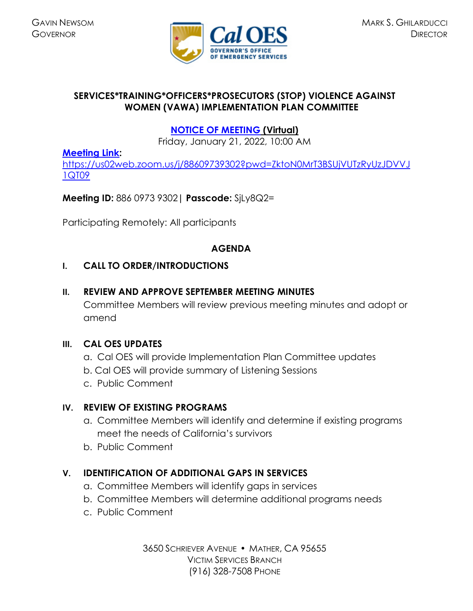

## **SERVICES\*TRAINING\*OFFICERS\*PROSECUTORS (STOP) VIOLENCE AGAINST WOMEN (VAWA) IMPLEMENTATION PLAN COMMITTEE**

# **[NOTICE OF MEETING](https://www.caloes.ca.gov/cal-oes-divisions/grants-management/victim-services/meeting-public-notices) (Virtual)**

Friday, January 21, 2022, 10:00 AM

## **[Meeting Link:](https://bluejeans.com/854262824?src=calendarLink)**

[https://us02web.zoom.us/j/88609739302?pwd=ZktoN0MrT3BSUjVUTzRyUzJDVVJ](https://us02web.zoom.us/j/88609739302?pwd=ZktoN0MrT3BSUjVUTzRyUzJDVVJ1QT09) [1QT09](https://us02web.zoom.us/j/88609739302?pwd=ZktoN0MrT3BSUjVUTzRyUzJDVVJ1QT09)

**Meeting ID:** 886 0973 9302**| Passcode:** SjLy8Q2=

Participating Remotely: All participants

## **AGENDA**

## **I. CALL TO ORDER/INTRODUCTIONS**

## **II. REVIEW AND APPROVE SEPTEMBER MEETING MINUTES**

Committee Members will review previous meeting minutes and adopt or amend

### **III. CAL OES UPDATES**

- a. Cal OES will provide Implementation Plan Committee updates
- b. Cal OES will provide summary of Listening Sessions
- c. Public Comment

## **IV. REVIEW OF EXISTING PROGRAMS**

- a. Committee Members will identify and determine if existing programs meet the needs of California's survivors
- b. Public Comment

## **V. IDENTIFICATION OF ADDITIONAL GAPS IN SERVICES**

- a. Committee Members will identify gaps in services
- b. Committee Members will determine additional programs needs
- c. Public Comment

3650 SCHRIEVER AVENUE MATHER, CA 95655 VICTIM SERVICES BRANCH (916) 328-7508 PHONE